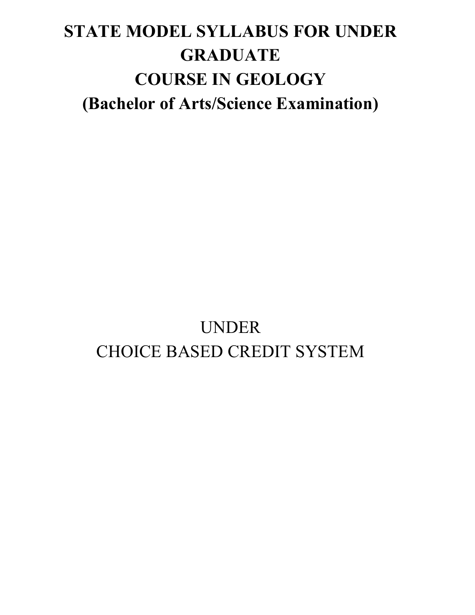# **STATE MODEL SYLLABUS FOR UNDER GRADUATE COURSE IN GEOLOGY (Bachelor of Arts/Science Examination)**

# UNDER CHOICE BASED CREDIT SYSTEM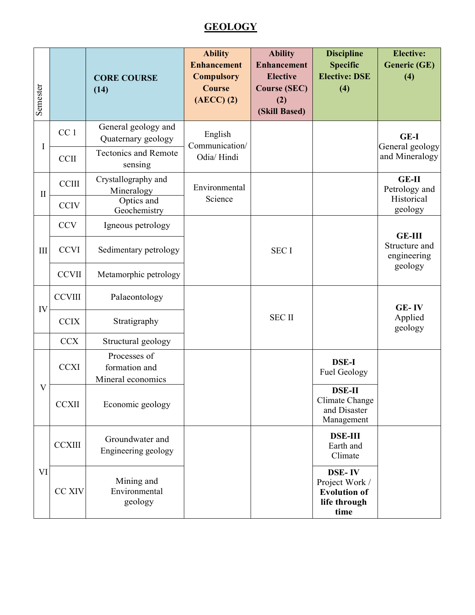# **GEOLOGY**

| Semester     |                 | <b>CORE COURSE</b><br>(14)                                               | <b>Ability</b><br><b>Enhancement</b><br><b>Compulsory</b><br><b>Course</b><br>$(AECC)$ $(2)$ | <b>Ability</b><br><b>Enhancement</b><br><b>Elective</b><br><b>Course (SEC)</b><br>(2)<br>(Skill Based) | <b>Discipline</b><br><b>Specific</b><br><b>Elective: DSE</b><br>(4)            | <b>Elective:</b><br><b>Generic (GE)</b><br>(4)   |
|--------------|-----------------|--------------------------------------------------------------------------|----------------------------------------------------------------------------------------------|--------------------------------------------------------------------------------------------------------|--------------------------------------------------------------------------------|--------------------------------------------------|
| I            | CC <sub>1</sub> | General geology and<br>Quaternary geology<br><b>Tectonics and Remote</b> | English<br>Communication/<br>Odia/Hindi                                                      |                                                                                                        |                                                                                | <b>GE-I</b><br>General geology<br>and Mineralogy |
|              | <b>CCII</b>     | sensing                                                                  |                                                                                              |                                                                                                        |                                                                                |                                                  |
| $\mathbf{I}$ | <b>CCIII</b>    | Crystallography and<br>Mineralogy<br>Optics and                          | Environmental<br>Science                                                                     |                                                                                                        |                                                                                | <b>GE-II</b><br>Petrology and<br>Historical      |
|              | <b>CCIV</b>     | Geochemistry                                                             |                                                                                              |                                                                                                        |                                                                                | geology                                          |
| $\rm III$    | <b>CCV</b>      | Igneous petrology                                                        |                                                                                              |                                                                                                        |                                                                                | <b>GE-III</b>                                    |
|              | <b>CCVI</b>     | Sedimentary petrology                                                    |                                                                                              | <b>SECI</b>                                                                                            |                                                                                | Structure and<br>engineering                     |
|              | <b>CCVII</b>    | Metamorphic petrology                                                    |                                                                                              |                                                                                                        |                                                                                | geology                                          |
| IV           | <b>CCVIII</b>   | Palaeontology                                                            |                                                                                              |                                                                                                        |                                                                                | GE-IV                                            |
|              | <b>CCIX</b>     | Stratigraphy                                                             |                                                                                              | <b>SEC II</b>                                                                                          |                                                                                | Applied<br>geology                               |
| V            | <b>CCX</b>      | Structural geology                                                       |                                                                                              |                                                                                                        |                                                                                |                                                  |
|              | <b>CCXI</b>     | Processes of<br>formation and<br>Mineral economics                       |                                                                                              |                                                                                                        | <b>DSE-I</b><br><b>Fuel Geology</b>                                            |                                                  |
|              | <b>CCXII</b>    | Economic geology                                                         |                                                                                              |                                                                                                        | <b>DSE-II</b><br>Climate Change<br>and Disaster<br>Management                  |                                                  |
| VI           | <b>CCXIII</b>   | Groundwater and<br>Engineering geology                                   |                                                                                              |                                                                                                        | <b>DSE-III</b><br>Earth and<br>Climate                                         |                                                  |
|              | CC XIV          | Mining and<br>Environmental<br>geology                                   |                                                                                              |                                                                                                        | <b>DSE-IV</b><br>Project Work /<br><b>Evolution of</b><br>life through<br>time |                                                  |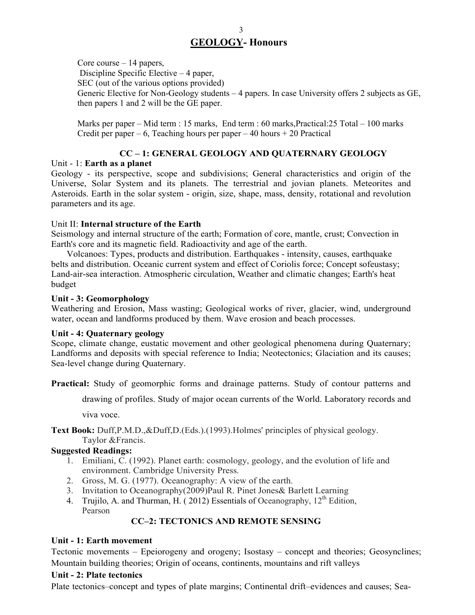Core course  $-14$  papers, Discipline Specific Elective – 4 paper, SEC (out of the various options provided) Generic Elective for Non-Geology students – 4 papers. In case University offers 2 subjects as GE, then papers 1 and 2 will be the GE paper.

Marks per paper – Mid term : 15 marks, End term : 60 marks,Practical:25 Total – 100 marks Credit per paper – 6, Teaching hours per paper – 40 hours  $+ 20$  Practical

## **CC – 1: GENERAL GEOLOGY AND QUATERNARY GEOLOGY**

#### Unit - 1: **Earth as a planet**

Geology - its perspective, scope and subdivisions; General characteristics and origin of the Universe, Solar System and its planets. The terrestrial and jovian planets. Meteorites and Asteroids. Earth in the solar system - origin, size, shape, mass, density, rotational and revolution parameters and its age.

#### Unit II: **Internal structure of the Earth**

Seismology and internal structure of the earth; Formation of core, mantle, crust; Convection in Earth's core and its magnetic field. Radioactivity and age of the earth.

Volcanoes: Types, products and distribution. Earthquakes - intensity, causes, earthquake belts and distribution. Oceanic current system and effect of Coriolis force; Concept sofeustasy; Land-air-sea interaction. Atmospheric circulation, Weather and climatic changes; Earth's heat budget

## **Unit - 3: Geomorphology**

Weathering and Erosion, Mass wasting; Geological works of river, glacier, wind, underground water, ocean and landforms produced by them. Wave erosion and beach processes.

#### **Unit - 4: Quaternary geology**

Scope, climate change, eustatic movement and other geological phenomena during Quaternary; Landforms and deposits with special reference to India; Neotectonics; Glaciation and its causes; Sea-level change during Quaternary.

Practical: Study of geomorphic forms and drainage patterns. Study of contour patterns and

drawing of profiles. Study of major ocean currents of the World. Laboratory records and

viva voce.

**Text Book:** Duff,P.M.D.,&Duff,D.(Eds.).(1993).Holmes' principles of physical geology.

Taylor &Francis.

## **Suggested Readings:**

- 1. Emiliani, C. (1992). Planet earth: cosmology, geology, and the evolution of life and environment. Cambridge University Press.
- 2. Gross, M. G. (1977). Oceanography: A view of the earth.
- 3. Invitation to Oceanography(2009)Paul R. Pinet Jones& Barlett Learning
- 4. Trujilo, A. and Thurman, H. (2012) Essentials of Oceanography,  $12^{th}$  Edition,
	- Pearson

# **CC–2: TECTONICS AND REMOTE SENSING**

## **Unit - 1: Earth movement**

Tectonic movements – Epeiorogeny and orogeny; Isostasy – concept and theories; Geosynclines; Mountain building theories; Origin of oceans, continents, mountains and rift valleys

## **Unit - 2: Plate tectonics**

Plate tectonics–concept and types of plate margins; Continental drift–evidences and causes; Sea-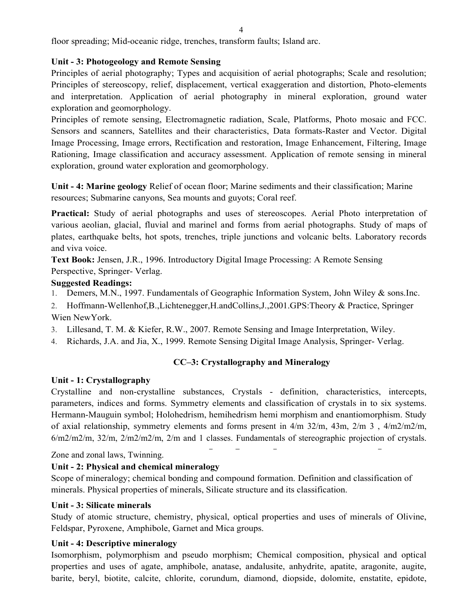floor spreading; Mid-oceanic ridge, trenches, transform faults; Island arc.

#### **Unit - 3: Photogeology and Remote Sensing**

Principles of aerial photography; Types and acquisition of aerial photographs; Scale and resolution; Principles of stereoscopy, relief, displacement, vertical exaggeration and distortion, Photo-elements and interpretation. Application of aerial photography in mineral exploration, ground water exploration and geomorphology.

Principles of remote sensing, Electromagnetic radiation, Scale, Platforms, Photo mosaic and FCC. Sensors and scanners, Satellites and their characteristics, Data formats-Raster and Vector. Digital Image Processing, Image errors, Rectification and restoration, Image Enhancement, Filtering, Image Rationing, Image classification and accuracy assessment. Application of remote sensing in mineral exploration, ground water exploration and geomorphology.

**Unit - 4: Marine geology** Relief of ocean floor; Marine sediments and their classification; Marine resources; Submarine canyons, Sea mounts and guyots; Coral reef.

Practical: Study of aerial photographs and uses of stereoscopes. Aerial Photo interpretation of various aeolian, glacial, fluvial and marinel and forms from aerial photographs. Study of maps of plates, earthquake belts, hot spots, trenches, triple junctions and volcanic belts. Laboratory records and viva voice.

**Text Book:** Jensen, J.R., 1996. Introductory Digital Image Processing: A Remote Sensing Perspective, Springer- Verlag.

#### **Suggested Readings:**

1. Demers, M.N., 1997. Fundamentals of Geographic Information System, John Wiley & sons.Inc.

2. Hoffmann-Wellenhof,B.,Lichtenegger,H.andCollins,J.,2001.GPS:Theory & Practice, Springer Wien NewYork.

- 3. Lillesand, T. M. & Kiefer, R.W., 2007. Remote Sensing and Image Interpretation, Wiley.
- 4. Richards, J.A. and Jia, X., 1999. Remote Sensing Digital Image Analysis, Springer- Verlag.

#### **CC–3: Crystallography and Mineralogy**

#### **Unit - 1: Crystallography**

Crystalline and non-crystalline substances, Crystals - definition, characteristics, intercepts, parameters, indices and forms. Symmetry elements and classification of crystals in to six systems. Hermann-Mauguin symbol; Holohedrism, hemihedrism hemi morphism and enantiomorphism. Study of axial relationship, symmetry elements and forms present in 4/m 32/m, 43m, 2/m 3 , 4/m2/m2/m, 6/m2/m2/m, 32/m, 2/m2/m2/m, 2/m and 1 classes. Fundamentals of stereographic projection of crystals.

Zone and zonal laws, Twinning.

#### **Unit - 2: Physical and chemical mineralogy**

Scope of mineralogy; chemical bonding and compound formation. Definition and classification of minerals. Physical properties of minerals, Silicate structure and its classification.

#### **Unit - 3: Silicate minerals**

Study of atomic structure, chemistry, physical, optical properties and uses of minerals of Olivine, Feldspar, Pyroxene, Amphibole, Garnet and Mica groups.

#### **Unit - 4: Descriptive mineralogy**

Isomorphism, polymorphism and pseudo morphism; Chemical composition, physical and optical properties and uses of agate, amphibole, anatase, andalusite, anhydrite, apatite, aragonite, augite, barite, beryl, biotite, calcite, chlorite, corundum, diamond, diopside, dolomite, enstatite, epidote,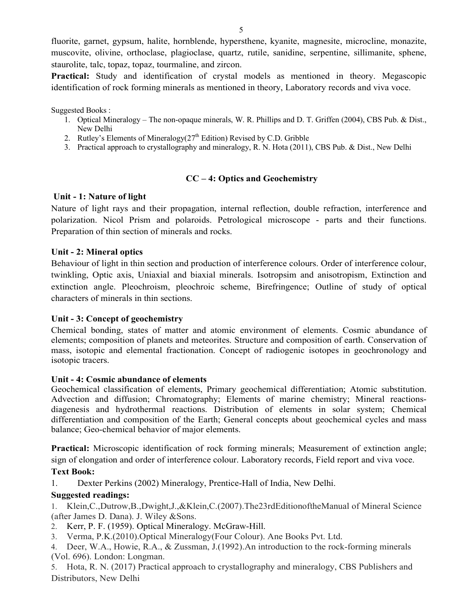fluorite, garnet, gypsum, halite, hornblende, hypersthene, kyanite, magnesite, microcline, monazite, muscovite, olivine, orthoclase, plagioclase, quartz, rutile, sanidine, serpentine, sillimanite, sphene, staurolite, talc, topaz, topaz, tourmaline, and zircon.

**Practical:** Study and identification of crystal models as mentioned in theory. Megascopic identification of rock forming minerals as mentioned in theory, Laboratory records and viva voce.

Suggested Books :

- 1. Optical Mineralogy The non-opaque minerals, W. R. Phillips and D. T. Griffen (2004), CBS Pub. & Dist., New Delhi
- 2. Rutley's Elements of Mineralogy $(27<sup>th</sup> Edition)$  Revised by C.D. Gribble
- 3. Practical approach to crystallography and mineralogy, R. N. Hota (2011), CBS Pub. & Dist., New Delhi

## **CC – 4: Optics and Geochemistry**

#### **Unit - 1: Nature of light**

Nature of light rays and their propagation, internal reflection, double refraction, interference and polarization. Nicol Prism and polaroids. Petrological microscope - parts and their functions. Preparation of thin section of minerals and rocks.

#### **Unit - 2: Mineral optics**

Behaviour of light in thin section and production of interference colours. Order of interference colour, twinkling, Optic axis, Uniaxial and biaxial minerals. Isotropsim and anisotropism, Extinction and extinction angle. Pleochroism, pleochroic scheme, Birefringence; Outline of study of optical characters of minerals in thin sections.

#### **Unit - 3: Concept of geochemistry**

Chemical bonding, states of matter and atomic environment of elements. Cosmic abundance of elements; composition of planets and meteorites. Structure and composition of earth. Conservation of mass, isotopic and elemental fractionation. Concept of radiogenic isotopes in geochronology and isotopic tracers.

#### **Unit - 4: Cosmic abundance of elements**

Geochemical classification of elements, Primary geochemical differentiation; Atomic substitution. Advection and diffusion; Chromatography; Elements of marine chemistry; Mineral reactionsdiagenesis and hydrothermal reactions. Distribution of elements in solar system; Chemical differentiation and composition of the Earth; General concepts about geochemical cycles and mass balance; Geo-chemical behavior of major elements.

**Practical:** Microscopic identification of rock forming minerals; Measurement of extinction angle; sign of elongation and order of interference colour. Laboratory records, Field report and viva voce.

#### **Text Book:**

1. Dexter Perkins (2002) Mineralogy, Prentice-Hall of India, New Delhi.

#### **Suggested readings:**

1. Klein,C.,Dutrow,B.,Dwight,J.,&Klein,C.(2007).The23rdEditionoftheManual of Mineral Science (after James D. Dana). J. Wiley &Sons.

- 2. Kerr, P. F. (1959). Optical Mineralogy. McGraw-Hill.
- 3. Verma, P.K.(2010).Optical Mineralogy(Four Colour). Ane Books Pvt. Ltd.
- 4. Deer, W.A., Howie, R.A., & Zussman, J.(1992).An introduction to the rock-forming minerals (Vol. 696). London: Longman.

5. Hota, R. N. (2017) Practical approach to crystallography and mineralogy, CBS Publishers and Distributors, New Delhi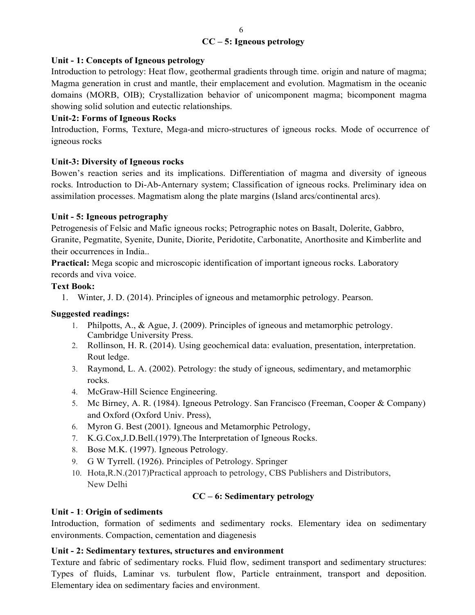## **CC – 5: Igneous petrology**

## **Unit - 1: Concepts of Igneous petrology**

Introduction to petrology: Heat flow, geothermal gradients through time. origin and nature of magma; Magma generation in crust and mantle, their emplacement and evolution. Magmatism in the oceanic domains (MORB, OIB); Crystallization behavior of unicomponent magma; bicomponent magma showing solid solution and eutectic relationships.

## **Unit-2: Forms of Igneous Rocks**

Introduction, Forms, Texture, Mega-and micro-structures of igneous rocks. Mode of occurrence of igneous rocks

## **Unit-3: Diversity of Igneous rocks**

Bowen's reaction series and its implications. Differentiation of magma and diversity of igneous rocks. Introduction to Di-Ab-Anternary system; Classification of igneous rocks. Preliminary idea on assimilation processes. Magmatism along the plate margins (Island arcs/continental arcs).

## **Unit - 5: Igneous petrography**

Petrogenesis of Felsic and Mafic igneous rocks; Petrographic notes on Basalt, Dolerite, Gabbro, Granite, Pegmatite, Syenite, Dunite, Diorite, Peridotite, Carbonatite, Anorthosite and Kimberlite and their occurrences in India..

**Practical:** Mega scopic and microscopic identification of important igneous rocks. Laboratory records and viva voice.

## **Text Book:**

1. Winter, J. D. (2014). Principles of igneous and metamorphic petrology. Pearson.

#### **Suggested readings:**

- 1. Philpotts, A., & Ague, J. (2009). Principles of igneous and metamorphic petrology. Cambridge University Press.
- 2. Rollinson, H. R. (2014). Using geochemical data: evaluation, presentation, interpretation. Rout ledge.
- 3. Raymond, L. A. (2002). Petrology: the study of igneous, sedimentary, and metamorphic rocks.
- 4. McGraw-Hill Science Engineering.
- 5. Mc Birney, A. R. (1984). Igneous Petrology. San Francisco (Freeman, Cooper & Company) and Oxford (Oxford Univ. Press),
- 6. Myron G. Best (2001). Igneous and Metamorphic Petrology,
- 7. K.G.Cox,J.D.Bell.(1979).The Interpretation of Igneous Rocks.
- 8. Bose M.K. (1997). Igneous Petrology.
- 9. G W Tyrrell. (1926). Principles of Petrology. Springer
- 10. Hota,R.N.(2017)Practical approach to petrology, CBS Publishers and Distributors, New Delhi

#### **CC – 6: Sedimentary petrology**

#### **Unit - 1**: **Origin of sediments**

Introduction, formation of sediments and sedimentary rocks. Elementary idea on sedimentary environments. Compaction, cementation and diagenesis

#### **Unit - 2: Sedimentary textures, structures and environment**

Texture and fabric of sedimentary rocks. Fluid flow, sediment transport and sedimentary structures: Types of fluids, Laminar vs. turbulent flow, Particle entrainment, transport and deposition. Elementary idea on sedimentary facies and environment.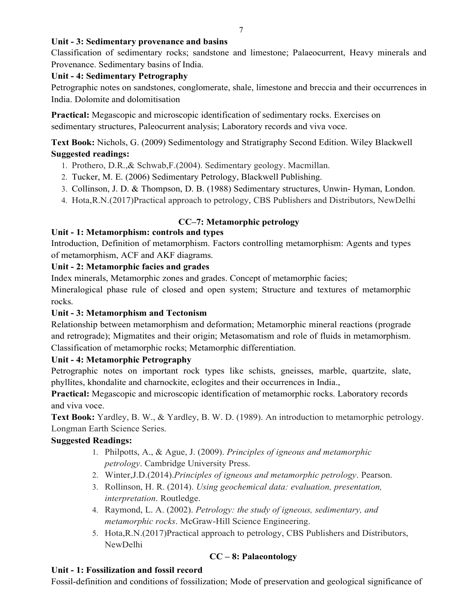## **Unit - 3: Sedimentary provenance and basins**

Classification of sedimentary rocks; sandstone and limestone; Palaeocurrent, Heavy minerals and Provenance. Sedimentary basins of India.

## **Unit - 4: Sedimentary Petrography**

Petrographic notes on sandstones, conglomerate, shale, limestone and breccia and their occurrences in India. Dolomite and dolomitisation

**Practical:** Megascopic and microscopic identification of sedimentary rocks. Exercises on sedimentary structures, Paleocurrent analysis; Laboratory records and viva voce.

**Text Book:** Nichols, G. (2009) Sedimentology and Stratigraphy Second Edition. Wiley Blackwell **Suggested readings:**

- 1. Prothero, D.R.,& Schwab,F.(2004). Sedimentary geology. Macmillan.
- 2. Tucker, M. E. (2006) Sedimentary Petrology, Blackwell Publishing.
- 3. Collinson, J. D. & Thompson, D. B. (1988) Sedimentary structures, Unwin- Hyman, London.
- 4. Hota,R.N.(2017)Practical approach to petrology, CBS Publishers and Distributors, NewDelhi

# **CC–7: Metamorphic petrology**

## **Unit - 1: Metamorphism: controls and types**

Introduction, Definition of metamorphism. Factors controlling metamorphism: Agents and types of metamorphism, ACF and AKF diagrams.

## **Unit - 2: Metamorphic facies and grades**

Index minerals, Metamorphic zones and grades. Concept of metamorphic facies;

Mineralogical phase rule of closed and open system; Structure and textures of metamorphic rocks.

# **Unit - 3: Metamorphism and Tectonism**

Relationship between metamorphism and deformation; Metamorphic mineral reactions (prograde and retrograde); Migmatites and their origin; Metasomatism and role of fluids in metamorphism. Classification of metamorphic rocks; Metamorphic differentiation.

## **Unit - 4: Metamorphic Petrography**

Petrographic notes on important rock types like schists, gneisses, marble, quartzite, slate, phyllites, khondalite and charnockite, eclogites and their occurrences in India.,

**Practical:** Megascopic and microscopic identification of metamorphic rocks. Laboratory records and viva voce.

**Text Book:** Yardley, B. W., & Yardley, B. W. D. (1989). An introduction to metamorphic petrology. Longman Earth Science Series.

# **Suggested Readings:**

- 1. Philpotts, A., & Ague, J. (2009). *Principles of igneous and metamorphic petrology*. Cambridge University Press.
- 2. Winter,J.D.(2014).*Principles of igneous and metamorphic petrology*. Pearson.
- 3. Rollinson, H. R. (2014). *Using geochemical data: evaluation, presentation, interpretation*. Routledge.
- 4. Raymond, L. A. (2002). *Petrology: the study of igneous, sedimentary, and metamorphic rocks*. McGraw-Hill Science Engineering.
- 5. Hota,R.N.(2017)Practical approach to petrology, CBS Publishers and Distributors, NewDelhi

# **CC – 8: Palaeontology**

# **Unit - 1: Fossilization and fossil record**

Fossil-definition and conditions of fossilization; Mode of preservation and geological significance of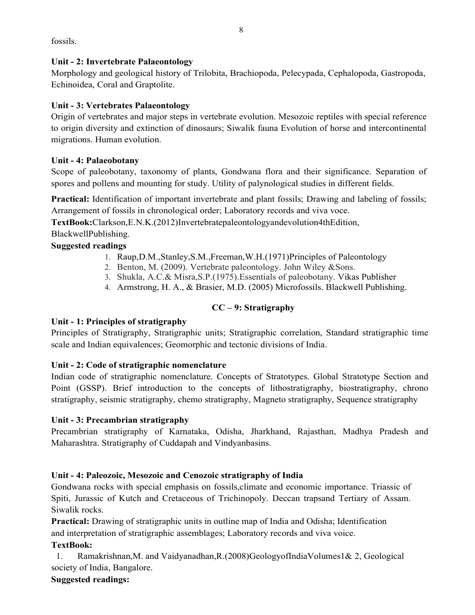fossils.

## **Unit - 2: Invertebrate Palaeontology**

Morphology and geological history of Trilobita, Brachiopoda, Pelecypada, Cephalopoda, Gastropoda, Echinoidea, Coral and Graptolite.

## **Unit - 3: Vertebrates Palaeontology**

Origin of vertebrates and major steps in vertebrate evolution. Mesozoic reptiles with special reference to origin diversity and extinction of dinosaurs; Siwalik fauna Evolution of horse and intercontinental migrations. Human evolution.

## **Unit - 4: Palaeobotany**

Scope of paleobotany, taxonomy of plants, Gondwana flora and their significance. Separation of spores and pollens and mounting for study. Utility of palynological studies in different fields.

Practical: Identification of important invertebrate and plant fossils; Drawing and labeling of fossils; Arrangement of fossils in chronological order; Laboratory records and viva voce.

**TextBook:**Clarkson,E.N.K.(2012)Invertebratepaleontologyandevolution4thEdition, BlackwellPublishing.

## **Suggested readings**

- 1. Raup,D.M.,Stanley,S.M.,Freeman,W.H.(1971)Principles of Paleontology
- 2. Benton, M. (2009). Vertebrate paleontology. John Wiley &Sons.
- 3. Shukla, A.C.& Misra,S.P.(1975).Essentials of paleobotany. Vikas Publisher
- 4. Armstrong, H. A., & Brasier, M.D. (2005) Microfossils. Blackwell Publishing.

# **CC – 9: Stratigraphy**

## **Unit - 1: Principles of stratigraphy**

Principles of Stratigraphy, Stratigraphic units; Stratigraphic correlation, Standard stratigraphic time scale and Indian equivalences; Geomorphic and tectonic divisions of India.

# **Unit - 2: Code of stratigraphic nomenclature**

Indian code of stratigraphic nomenclature. Concepts of Stratotypes. Global Stratotype Section and Point (GSSP). Brief introduction to the concepts of lithostratigraphy, biostratigraphy, chrono stratigraphy, seismic stratigraphy, chemo stratigraphy, Magneto stratigraphy, Sequence stratigraphy

# **Unit - 3: Precambrian stratigraphy**

Precambrian stratigraphy of Karnataka, Odisha, Jharkhand, Rajasthan, Madhya Pradesh and Maharashtra. Stratigraphy of Cuddapah and Vindyanbasins.

# **Unit - 4: Paleozoic, Mesozoic and Cenozoic stratigraphy of India**

Gondwana rocks with special emphasis on fossils,climate and economic importance. Triassic of Spiti, Jurassic of Kutch and Cretaceous of Trichinopoly. Deccan trapsand Tertiary of Assam. Siwalik rocks.

**Practical:** Drawing of stratigraphic units in outline map of India and Odisha; Identification and interpretation of stratigraphic assemblages; Laboratory records and viva voice.

# **TextBook:**

1. Ramakrishnan,M. and Vaidyanadhan,R.(2008)GeologyofIndiaVolumes1& 2, Geological society of India, Bangalore.

# **Suggested readings:**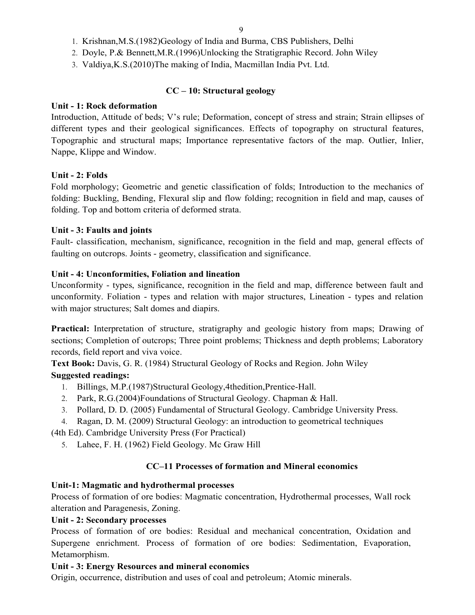- 1. Krishnan,M.S.(1982)Geology of India and Burma, CBS Publishers, Delhi
- 2. Doyle, P.& Bennett,M.R.(1996)Unlocking the Stratigraphic Record. John Wiley
- 3. Valdiya,K.S.(2010)The making of India, Macmillan India Pvt. Ltd.

## **CC – 10: Structural geology**

## **Unit - 1: Rock deformation**

Introduction, Attitude of beds; V's rule; Deformation, concept of stress and strain; Strain ellipses of different types and their geological significances. Effects of topography on structural features, Topographic and structural maps; Importance representative factors of the map. Outlier, Inlier, Nappe, Klippe and Window.

## **Unit - 2: Folds**

Fold morphology; Geometric and genetic classification of folds; Introduction to the mechanics of folding: Buckling, Bending, Flexural slip and flow folding; recognition in field and map, causes of folding. Top and bottom criteria of deformed strata.

## **Unit - 3: Faults and joints**

Fault- classification, mechanism, significance, recognition in the field and map, general effects of faulting on outcrops. Joints - geometry, classification and significance.

## **Unit - 4: Unconformities, Foliation and lineation**

Unconformity - types, significance, recognition in the field and map, difference between fault and unconformity. Foliation - types and relation with major structures, Lineation - types and relation with major structures; Salt domes and diapirs.

**Practical:** Interpretation of structure, stratigraphy and geologic history from maps; Drawing of sections; Completion of outcrops; Three point problems; Thickness and depth problems; Laboratory records, field report and viva voice.

**Text Book:** Davis, G. R. (1984) Structural Geology of Rocks and Region. John Wiley **Suggested readings:**

- 1. Billings, M.P.(1987)Structural Geology,4thedition,Prentice-Hall.
- 2. Park, R.G.(2004)Foundations of Structural Geology. Chapman & Hall.
- 3. Pollard, D. D. (2005) Fundamental of Structural Geology. Cambridge University Press.
- 4. Ragan, D. M. (2009) Structural Geology: an introduction to geometrical techniques

(4th Ed). Cambridge University Press (For Practical)

5. Lahee, F. H. (1962) Field Geology. Mc Graw Hill

# **CC–11 Processes of formation and Mineral economics**

## **Unit-1: Magmatic and hydrothermal processes**

Process of formation of ore bodies: Magmatic concentration, Hydrothermal processes, Wall rock alteration and Paragenesis, Zoning.

## **Unit - 2: Secondary processes**

Process of formation of ore bodies: Residual and mechanical concentration, Oxidation and Supergene enrichment. Process of formation of ore bodies: Sedimentation, Evaporation, Metamorphism.

# **Unit - 3: Energy Resources and mineral economics**

Origin, occurrence, distribution and uses of coal and petroleum; Atomic minerals.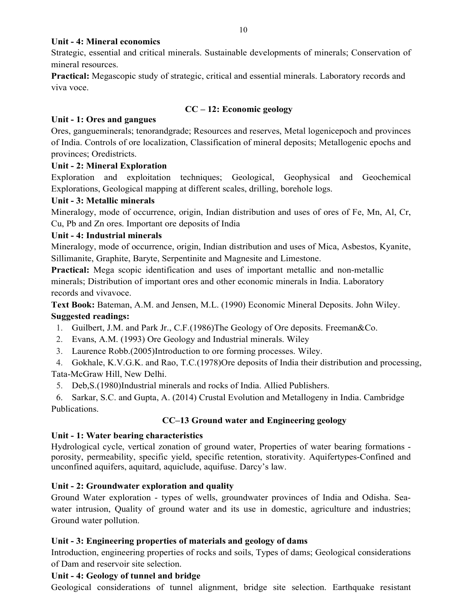#### **Unit - 4: Mineral economics**

Strategic, essential and critical minerals. Sustainable developments of minerals; Conservation of mineral resources.

**Practical:** Megascopic study of strategic, critical and essential minerals. Laboratory records and viva voce.

#### **CC – 12: Economic geology**

## **Unit - 1: Ores and gangues**

Ores, gangueminerals; tenorandgrade; Resources and reserves, Metal logenicepoch and provinces of India. Controls of ore localization, Classification of mineral deposits; Metallogenic epochs and provinces; Oredistricts.

## **Unit - 2: Mineral Exploration**

Exploration and exploitation techniques; Geological, Geophysical and Geochemical Explorations, Geological mapping at different scales, drilling, borehole logs.

## **Unit - 3: Metallic minerals**

Mineralogy, mode of occurrence, origin, Indian distribution and uses of ores of Fe, Mn, Al, Cr, Cu, Pb and Zn ores. Important ore deposits of India

## **Unit - 4: Industrial minerals**

Mineralogy, mode of occurrence, origin, Indian distribution and uses of Mica, Asbestos, Kyanite, Sillimanite, Graphite, Baryte, Serpentinite and Magnesite and Limestone.

**Practical:** Mega scopic identification and uses of important metallic and non-metallic minerals; Distribution of important ores and other economic minerals in India. Laboratory records and vivavoce.

**Text Book:** Bateman, A.M. and Jensen, M.L. (1990) Economic Mineral Deposits. John Wiley. **Suggested readings:**

- 1. Guilbert, J.M. and Park Jr., C.F.(1986)The Geology of Ore deposits. Freeman&Co.
- 2. Evans, A.M. (1993) Ore Geology and Industrial minerals. Wiley
- 3. Laurence Robb.(2005)Introduction to ore forming processes. Wiley.

4. Gokhale, K.V.G.K. and Rao, T.C.(1978)Ore deposits of India their distribution and processing, Tata-McGraw Hill, New Delhi.

5. Deb,S.(1980)Industrial minerals and rocks of India. Allied Publishers.

6. Sarkar, S.C. and Gupta, A. (2014) Crustal Evolution and Metallogeny in India. Cambridge Publications.

## **CC–13 Ground water and Engineering geology**

## **Unit - 1: Water bearing characteristics**

Hydrological cycle, vertical zonation of ground water, Properties of water bearing formations porosity, permeability, specific yield, specific retention, storativity. Aquifertypes-Confined and unconfined aquifers, aquitard, aquiclude, aquifuse. Darcy's law.

## **Unit - 2: Groundwater exploration and quality**

Ground Water exploration - types of wells, groundwater provinces of India and Odisha. Seawater intrusion, Quality of ground water and its use in domestic, agriculture and industries; Ground water pollution.

## **Unit - 3: Engineering properties of materials and geology of dams**

Introduction, engineering properties of rocks and soils, Types of dams; Geological considerations of Dam and reservoir site selection.

## **Unit - 4: Geology of tunnel and bridge**

Geological considerations of tunnel alignment, bridge site selection. Earthquake resistant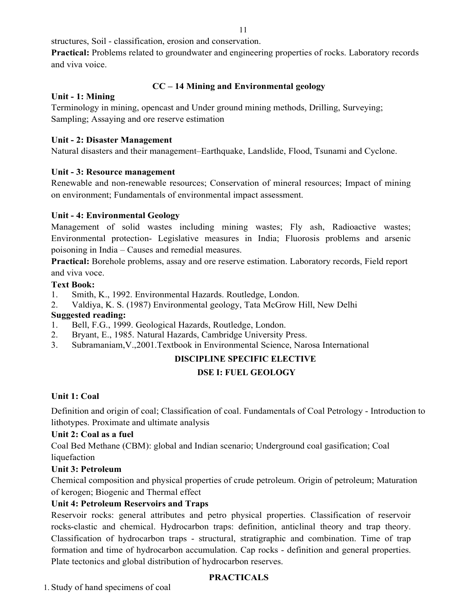structures, Soil - classification, erosion and conservation.

**Practical:** Problems related to groundwater and engineering properties of rocks. Laboratory records and viva voice.

## **CC – 14 Mining and Environmental geology**

#### **Unit - 1: Mining**

Terminology in mining, opencast and Under ground mining methods, Drilling, Surveying; Sampling; Assaying and ore reserve estimation

#### **Unit - 2: Disaster Management**

Natural disasters and their management–Earthquake, Landslide, Flood, Tsunami and Cyclone.

#### **Unit - 3: Resource management**

Renewable and non-renewable resources; Conservation of mineral resources; Impact of mining on environment; Fundamentals of environmental impact assessment.

#### **Unit - 4: Environmental Geology**

Management of solid wastes including mining wastes; Fly ash, Radioactive wastes; Environmental protection- Legislative measures in India; Fluorosis problems and arsenic poisoning in India – Causes and remedial measures.

**Practical:** Borehole problems, assay and ore reserve estimation. Laboratory records, Field report and viva voce.

#### **Text Book:**

- 1. Smith, K., 1992. Environmental Hazards. Routledge, London.
- 2. Valdiya, K. S. (1987) Environmental geology, Tata McGrow Hill, New Delhi

#### **Suggested reading:**

- 1. Bell, F.G., 1999. Geological Hazards, Routledge, London.
- 2. Bryant, E., 1985. Natural Hazards, Cambridge University Press.
- 3. Subramaniam,V.,2001.Textbook in Environmental Science, Narosa International

# **DISCIPLINE SPECIFIC ELECTIVE**

## **DSE I: FUEL GEOLOGY**

#### **Unit 1: Coal**

Definition and origin of coal; Classification of coal. Fundamentals of Coal Petrology - Introduction to lithotypes. Proximate and ultimate analysis

#### **Unit 2: Coal as a fuel**

Coal Bed Methane (CBM): global and Indian scenario; Underground coal gasification; Coal liquefaction

#### **Unit 3: Petroleum**

Chemical composition and physical properties of crude petroleum. Origin of petroleum; Maturation of kerogen; Biogenic and Thermal effect

#### **Unit 4: Petroleum Reservoirs and Traps**

Reservoir rocks: general attributes and petro physical properties. Classification of reservoir rocks-clastic and chemical. Hydrocarbon traps: definition, anticlinal theory and trap theory. Classification of hydrocarbon traps - structural, stratigraphic and combination. Time of trap formation and time of hydrocarbon accumulation. Cap rocks - definition and general properties. Plate tectonics and global distribution of hydrocarbon reserves.

## **PRACTICALS**

1. Study of hand specimens of coal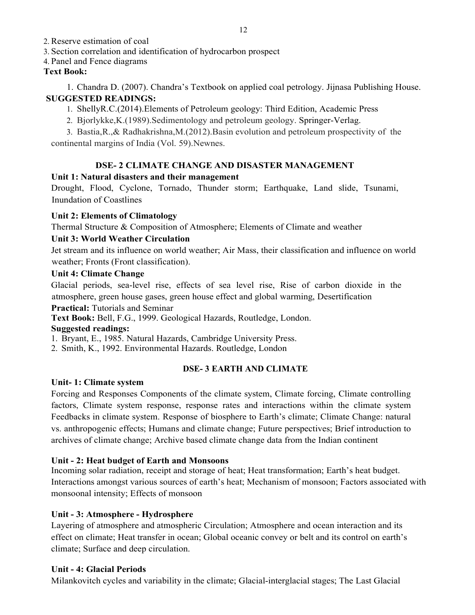2. Reserve estimation of coal

3. Section correlation and identification of hydrocarbon prospect

#### 4. Panel and Fence diagrams

## **Text Book:**

1. Chandra D. (2007). Chandra's Textbook on applied coal petrology. Jijnasa Publishing House. **SUGGESTED READINGS:**

1. ShellyR.C.(2014).Elements of Petroleum geology: Third Edition, Academic Press

2. Bjorlykke,K.(1989).Sedimentology and petroleum geology. Springer-Verlag.

3. Bastia,R.,& Radhakrishna,M.(2012).Basin evolution and petroleum prospectivity of the continental margins of India (Vol. 59).Newnes.

## **DSE- 2 CLIMATE CHANGE AND DISASTER MANAGEMENT**

## **Unit 1: Natural disasters and their management**

Drought, Flood, Cyclone, Tornado, Thunder storm; Earthquake, Land slide, Tsunami, Inundation of Coastlines

## **Unit 2: Elements of Climatology**

Thermal Structure & Composition of Atmosphere; Elements of Climate and weather

## **Unit 3: World Weather Circulation**

Jet stream and its influence on world weather; Air Mass, their classification and influence on world weather; Fronts (Front classification).

## **Unit 4: Climate Change**

Glacial periods, sea-level rise, effects of sea level rise, Rise of carbon dioxide in the atmosphere, green house gases, green house effect and global warming, Desertification

## **Practical:** Tutorials and Seminar

**Text Book:** Bell, F.G., 1999. Geological Hazards, Routledge, London.

## **Suggested readings:**

1. Bryant, E., 1985. Natural Hazards, Cambridge University Press.

2. Smith, K., 1992. Environmental Hazards. Routledge, London

## **DSE- 3 EARTH AND CLIMATE**

#### **Unit- 1: Climate system**

Forcing and Responses Components of the climate system, Climate forcing, Climate controlling factors, Climate system response, response rates and interactions within the climate system Feedbacks in climate system. Response of biosphere to Earth's climate; Climate Change: natural vs. anthropogenic effects; Humans and climate change; Future perspectives; Brief introduction to archives of climate change; Archive based climate change data from the Indian continent

#### **Unit - 2: Heat budget of Earth and Monsoons**

Incoming solar radiation, receipt and storage of heat; Heat transformation; Earth's heat budget. Interactions amongst various sources of earth's heat; Mechanism of monsoon; Factors associated with monsoonal intensity; Effects of monsoon

#### **Unit - 3: Atmosphere - Hydrosphere**

Layering of atmosphere and atmospheric Circulation; Atmosphere and ocean interaction and its effect on climate; Heat transfer in ocean; Global oceanic convey or belt and its control on earth's climate; Surface and deep circulation.

#### **Unit - 4: Glacial Periods**

Milankovitch cycles and variability in the climate; Glacial-interglacial stages; The Last Glacial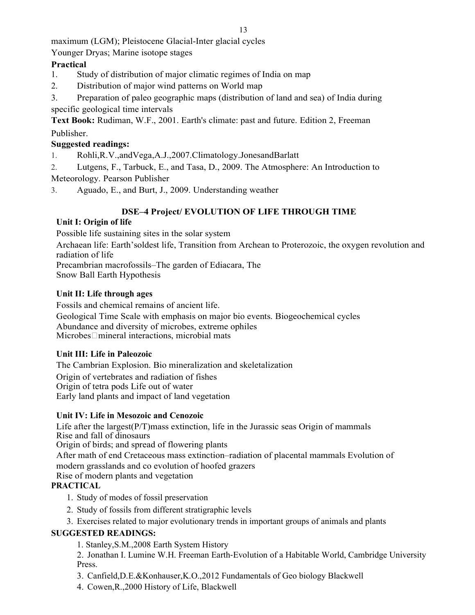maximum (LGM); Pleistocene Glacial-Inter glacial cycles

Younger Dryas; Marine isotope stages

## **Practical**

- 1. Study of distribution of major climatic regimes of India on map
- 2. Distribution of major wind patterns on World map
- 3. Preparation of paleo geographic maps (distribution of land and sea) of India during specific geological time intervals

**Text Book:** Rudiman, W.F., 2001. Earth's climate: past and future. Edition 2, Freeman Publisher.

## **Suggested readings:**

- 1. Rohli,R.V.,andVega,A.J.,2007.Climatology.JonesandBarlatt
- 2. Lutgens, F., Tarbuck, E., and Tasa, D., 2009. The Atmosphere: An Introduction to

Meteorology. Pearson Publisher

3. Aguado, E., and Burt, J., 2009. Understanding weather

# **DSE–4 Project/ EVOLUTION OF LIFE THROUGH TIME**

## **Unit I: Origin of life**

Possible life sustaining sites in the solar system

Archaean life: Earth'soldest life, Transition from Archean to Proterozoic, the oxygen revolution and radiation of life

Precambrian macrofossils–The garden of Ediacara, The Snow Ball Earth Hypothesis

## **Unit II: Life through ages**

Fossils and chemical remains of ancient life. Geological Time Scale with emphasis on major bio events. Biogeochemical cycles Abundance and diversity of microbes, extreme ophiles Microbes□mineral interactions, microbial mats

# **Unit III: Life in Paleozoic**

The Cambrian Explosion. Bio mineralization and skeletalization Origin of vertebrates and radiation of fishes Origin of tetra pods Life out of water Early land plants and impact of land vegetation

## **Unit IV: Life in Mesozoic and Cenozoic**

Life after the largest(P/T)mass extinction, life in the Jurassic seas Origin of mammals Rise and fall of dinosaurs Origin of birds; and spread of flowering plants After math of end Cretaceous mass extinction–radiation of placental mammals Evolution of modern grasslands and co evolution of hoofed grazers Rise of modern plants and vegetation

# **PRACTICAL**

- 1. Study of modes of fossil preservation
- 2. Study of fossils from different stratigraphic levels
- 3. Exercises related to major evolutionary trends in important groups of animals and plants

# **SUGGESTED READINGS:**

1. Stanley,S.M.,2008 Earth System History

2. Jonathan I. Lumine W.H. Freeman Earth‐Evolution of a Habitable World, Cambridge University Press.

- 3. Canfield,D.E.&Konhauser,K.O.,2012 Fundamentals of Geo biology Blackwell
- 4. Cowen,R.,2000 History of Life, Blackwell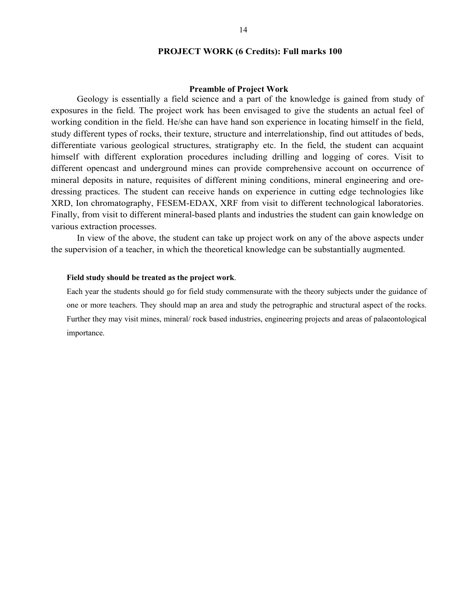#### **PROJECT WORK (6 Credits): Full marks 100**

#### **Preamble of Project Work**

Geology is essentially a field science and a part of the knowledge is gained from study of exposures in the field. The project work has been envisaged to give the students an actual feel of working condition in the field. He/she can have hand son experience in locating himself in the field, study different types of rocks, their texture, structure and interrelationship, find out attitudes of beds, differentiate various geological structures, stratigraphy etc. In the field, the student can acquaint himself with different exploration procedures including drilling and logging of cores. Visit to different opencast and underground mines can provide comprehensive account on occurrence of mineral deposits in nature, requisites of different mining conditions, mineral engineering and oredressing practices. The student can receive hands on experience in cutting edge technologies like XRD, Ion chromatography, FESEM-EDAX, XRF from visit to different technological laboratories. Finally, from visit to different mineral-based plants and industries the student can gain knowledge on various extraction processes.

In view of the above, the student can take up project work on any of the above aspects under the supervision of a teacher, in which the theoretical knowledge can be substantially augmented.

#### **Field study should be treated as the project work**.

Each year the students should go for field study commensurate with the theory subjects under the guidance of one or more teachers. They should map an area and study the petrographic and structural aspect of the rocks. Further they may visit mines, mineral/ rock based industries, engineering projects and areas of palaeontological importance.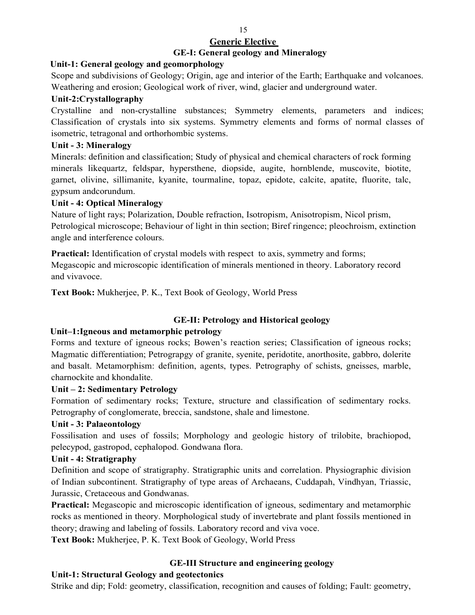# **Generic Elective**

## **GE-I: General geology and Mineralogy**

## **Unit-1: General geology and geomorphology**

Scope and subdivisions of Geology; Origin, age and interior of the Earth; Earthquake and volcanoes. Weathering and erosion; Geological work of river, wind, glacier and underground water.

#### **Unit-2:Crystallography**

Crystalline and non-crystalline substances; Symmetry elements, parameters and indices; Classification of crystals into six systems. Symmetry elements and forms of normal classes of isometric, tetragonal and orthorhombic systems.

## **Unit - 3: Mineralogy**

Minerals: definition and classification; Study of physical and chemical characters of rock forming minerals likequartz, feldspar, hypersthene, diopside, augite, hornblende, muscovite, biotite, garnet, olivine, sillimanite, kyanite, tourmaline, topaz, epidote, calcite, apatite, fluorite, talc, gypsum andcorundum.

## **Unit - 4: Optical Mineralogy**

Nature of light rays; Polarization, Double refraction, Isotropism, Anisotropism, Nicol prism, Petrological microscope; Behaviour of light in thin section; Biref ringence; pleochroism, extinction angle and interference colours.

**Practical:** Identification of crystal models with respect to axis, symmetry and forms; Megascopic and microscopic identification of minerals mentioned in theory. Laboratory record and vivavoce.

**Text Book:** Mukherjee, P. K., Text Book of Geology, World Press

## **GE-II: Petrology and Historical geology**

## **Unit–1:Igneous and metamorphic petrology**

Forms and texture of igneous rocks; Bowen's reaction series; Classification of igneous rocks; Magmatic differentiation; Petrograpgy of granite, syenite, peridotite, anorthosite, gabbro, dolerite and basalt. Metamorphism: definition, agents, types. Petrography of schists, gneisses, marble, charnockite and khondalite.

## **Unit – 2: Sedimentary Petrology**

Formation of sedimentary rocks; Texture, structure and classification of sedimentary rocks. Petrography of conglomerate, breccia, sandstone, shale and limestone.

## **Unit - 3: Palaeontology**

Fossilisation and uses of fossils; Morphology and geologic history of trilobite, brachiopod, pelecypod, gastropod, cephalopod. Gondwana flora.

## **Unit - 4: Stratigraphy**

Definition and scope of stratigraphy. Stratigraphic units and correlation. Physiographic division of Indian subcontinent. Stratigraphy of type areas of Archaeans, Cuddapah, Vindhyan, Triassic, Jurassic, Cretaceous and Gondwanas.

**Practical:** Megascopic and microscopic identification of igneous, sedimentary and metamorphic rocks as mentioned in theory. Morphological study of invertebrate and plant fossils mentioned in theory; drawing and labeling of fossils. Laboratory record and viva voce.

**Text Book:** Mukherjee, P. K. Text Book of Geology, World Press

# **GE-III Structure and engineering geology**

## **Unit-1: Structural Geology and geotectonics**

Strike and dip; Fold: geometry, classification, recognition and causes of folding; Fault: geometry,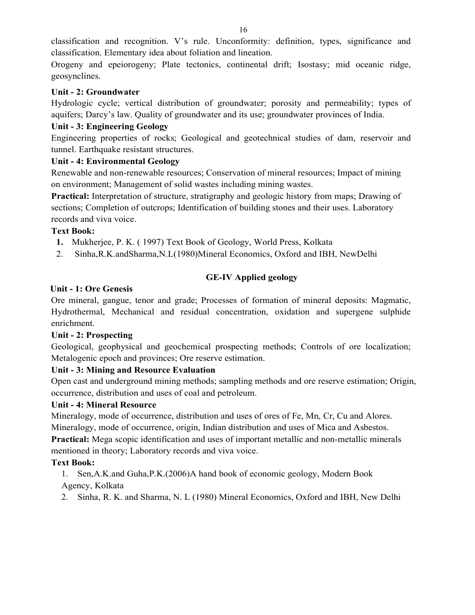classification and recognition. V's rule. Unconformity: definition, types, significance and classification. Elementary idea about foliation and lineation.

Orogeny and epeiorogeny; Plate tectonics, continental drift; Isostasy; mid oceanic ridge, geosynclines.

## **Unit - 2: Groundwater**

Hydrologic cycle; vertical distribution of groundwater; porosity and permeability; types of aquifers; Darcy's law. Quality of groundwater and its use; groundwater provinces of India.

## **Unit - 3: Engineering Geology**

Engineering properties of rocks; Geological and geotechnical studies of dam, reservoir and tunnel. Earthquake resistant structures.

## **Unit - 4: Environmental Geology**

Renewable and non-renewable resources; Conservation of mineral resources; Impact of mining on environment; Management of solid wastes including mining wastes.

**Practical:** Interpretation of structure, stratigraphy and geologic history from maps; Drawing of sections; Completion of outcrops; Identification of building stones and their uses. Laboratory records and viva voice.

## **Text Book:**

- **1.** Mukherjee, P. K. ( 1997) Text Book of Geology, World Press, Kolkata
- 2. Sinha,R.K.andSharma,N.L(1980)Mineral Economics, Oxford and IBH, NewDelhi

# **GE-IV Applied geology**

## **Unit - 1: Ore Genesis**

Ore mineral, gangue, tenor and grade; Processes of formation of mineral deposits: Magmatic, Hydrothermal, Mechanical and residual concentration, oxidation and supergene sulphide enrichment.

# **Unit - 2: Prospecting**

Geological, geophysical and geochemical prospecting methods; Controls of ore localization; Metalogenic epoch and provinces; Ore reserve estimation.

# **Unit - 3: Mining and Resource Evaluation**

Open cast and underground mining methods; sampling methods and ore reserve estimation; Origin, occurrence, distribution and uses of coal and petroleum.

## **Unit - 4: Mineral Resource**

Mineralogy, mode of occurrence, distribution and uses of ores of Fe, Mn, Cr, Cu and Alores. Mineralogy, mode of occurrence, origin, Indian distribution and uses of Mica and Asbestos.

**Practical:** Mega scopic identification and uses of important metallic and non-metallic minerals mentioned in theory; Laboratory records and viva voice.

# **Text Book:**

1. Sen,A.K.and Guha,P.K.(2006)A hand book of economic geology, Modern Book Agency, Kolkata

2. Sinha, R. K. and Sharma, N. L (1980) Mineral Economics, Oxford and IBH, New Delhi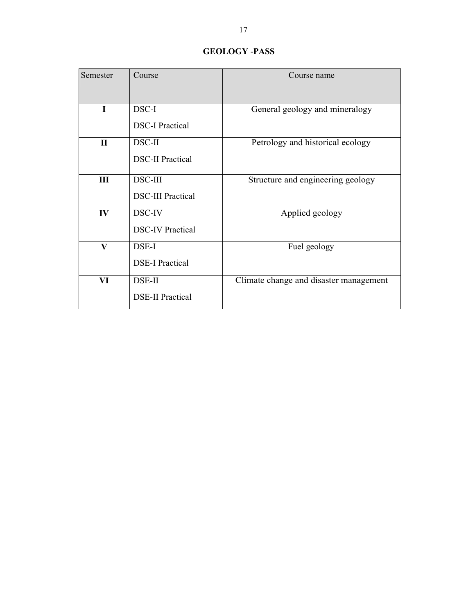## **GEOLOGY** -**PASS**

| Semester     | Course                   | Course name                            |
|--------------|--------------------------|----------------------------------------|
| I            | DSC-I                    | General geology and mineralogy         |
|              | <b>DSC-I Practical</b>   |                                        |
| $\mathbf{I}$ | DSC-II                   | Petrology and historical ecology       |
|              | <b>DSC-II Practical</b>  |                                        |
| Ш            | <b>DSC-III</b>           | Structure and engineering geology      |
|              | <b>DSC-III Practical</b> |                                        |
| IV           | DSC-IV                   | Applied geology                        |
|              | <b>DSC-IV Practical</b>  |                                        |
| V            | DSE-I                    | Fuel geology                           |
|              | <b>DSE-I Practical</b>   |                                        |
| VI           | DSE-II                   | Climate change and disaster management |
|              | <b>DSE-II Practical</b>  |                                        |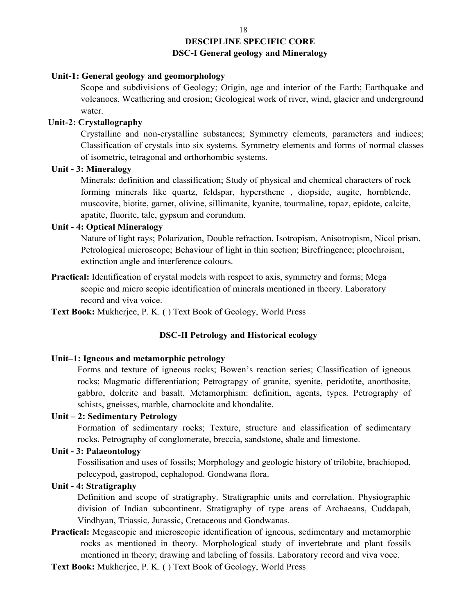# **DESCIPLINE SPECIFIC CORE DSC-I General geology and Mineralogy**

#### **Unit-1: General geology and geomorphology**

Scope and subdivisions of Geology; Origin, age and interior of the Earth; Earthquake and volcanoes. Weathering and erosion; Geological work of river, wind, glacier and underground water.

#### **Unit-2: Crystallography**

Crystalline and non-crystalline substances; Symmetry elements, parameters and indices; Classification of crystals into six systems. Symmetry elements and forms of normal classes of isometric, tetragonal and orthorhombic systems.

#### **Unit - 3: Mineralogy**

Minerals: definition and classification; Study of physical and chemical characters of rock forming minerals like quartz, feldspar, hypersthene , diopside, augite, hornblende, muscovite, biotite, garnet, olivine, sillimanite, kyanite, tourmaline, topaz, epidote, calcite, apatite, fluorite, talc, gypsum and corundum.

#### **Unit - 4: Optical Mineralogy**

 Nature of light rays; Polarization, Double refraction, Isotropism, Anisotropism, Nicol prism, Petrological microscope; Behaviour of light in thin section; Birefringence; pleochroism, extinction angle and interference colours.

Practical: Identification of crystal models with respect to axis, symmetry and forms; Mega scopic and micro scopic identification of minerals mentioned in theory. Laboratory record and viva voice.

**Text Book:** Mukherjee, P. K. ( ) Text Book of Geology, World Press

#### **DSC-II Petrology and Historical ecology**

#### **Unit–1: Igneous and metamorphic petrology**

Forms and texture of igneous rocks; Bowen's reaction series; Classification of igneous rocks; Magmatic differentiation; Petrograpgy of granite, syenite, peridotite, anorthosite, gabbro, dolerite and basalt. Metamorphism: definition, agents, types. Petrography of schists, gneisses, marble, charnockite and khondalite.

## **Unit – 2: Sedimentary Petrology**

Formation of sedimentary rocks; Texture, structure and classification of sedimentary rocks. Petrography of conglomerate, breccia, sandstone, shale and limestone.

#### **Unit - 3: Palaeontology**

Fossilisation and uses of fossils; Morphology and geologic history of trilobite, brachiopod, pelecypod, gastropod, cephalopod. Gondwana flora.

#### **Unit - 4: Stratigraphy**

Definition and scope of stratigraphy. Stratigraphic units and correlation. Physiographic division of Indian subcontinent. Stratigraphy of type areas of Archaeans, Cuddapah, Vindhyan, Triassic, Jurassic, Cretaceous and Gondwanas.

- **Practical:** Megascopic and microscopic identification of igneous, sedimentary and metamorphic rocks as mentioned in theory. Morphological study of invertebrate and plant fossils mentioned in theory; drawing and labeling of fossils. Laboratory record and viva voce.
- **Text Book:** Mukherjee, P. K. ( ) Text Book of Geology, World Press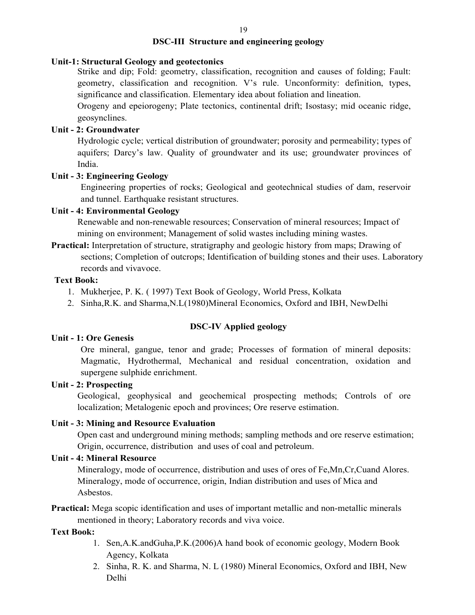#### **DSC-III Structure and engineering geology**

#### **Unit-1: Structural Geology and geotectonics**

Strike and dip; Fold: geometry, classification, recognition and causes of folding; Fault: geometry, classification and recognition. V's rule. Unconformity: definition, types, significance and classification. Elementary idea about foliation and lineation.

Orogeny and epeiorogeny; Plate tectonics, continental drift; Isostasy; mid oceanic ridge, geosynclines.

#### **Unit - 2: Groundwater**

Hydrologic cycle; vertical distribution of groundwater; porosity and permeability; types of aquifers; Darcy's law. Quality of groundwater and its use; groundwater provinces of India.

#### **Unit - 3: Engineering Geology**

Engineering properties of rocks; Geological and geotechnical studies of dam, reservoir and tunnel. Earthquake resistant structures.

#### **Unit - 4: Environmental Geology**

Renewable and non-renewable resources; Conservation of mineral resources; Impact of mining on environment; Management of solid wastes including mining wastes.

**Practical:** Interpretation of structure, stratigraphy and geologic history from maps; Drawing of sections; Completion of outcrops; Identification of building stones and their uses. Laboratory records and vivavoce.

#### **Text Book:**

- 1. Mukherjee, P. K. ( 1997) Text Book of Geology, World Press, Kolkata
- 2. Sinha,R.K. and Sharma,N.L(1980)Mineral Economics, Oxford and IBH, NewDelhi

## **DSC-IV Applied geology**

#### **Unit - 1: Ore Genesis**

Ore mineral, gangue, tenor and grade; Processes of formation of mineral deposits: Magmatic, Hydrothermal, Mechanical and residual concentration, oxidation and supergene sulphide enrichment.

#### **Unit - 2: Prospecting**

Geological, geophysical and geochemical prospecting methods; Controls of ore localization; Metalogenic epoch and provinces; Ore reserve estimation.

#### **Unit - 3: Mining and Resource Evaluation**

Open cast and underground mining methods; sampling methods and ore reserve estimation; Origin, occurrence, distribution and uses of coal and petroleum.

#### **Unit - 4: Mineral Resource**

Mineralogy, mode of occurrence, distribution and uses of ores of Fe,Mn,Cr,Cuand Alores. Mineralogy, mode of occurrence, origin, Indian distribution and uses of Mica and Asbestos.

**Practical:** Mega scopic identification and uses of important metallic and non-metallic minerals mentioned in theory; Laboratory records and viva voice.

#### **Text Book:**

- 1. Sen,A.K.andGuha,P.K.(2006)A hand book of economic geology, Modern Book Agency, Kolkata
- 2. Sinha, R. K. and Sharma, N. L (1980) Mineral Economics, Oxford and IBH, New Delhi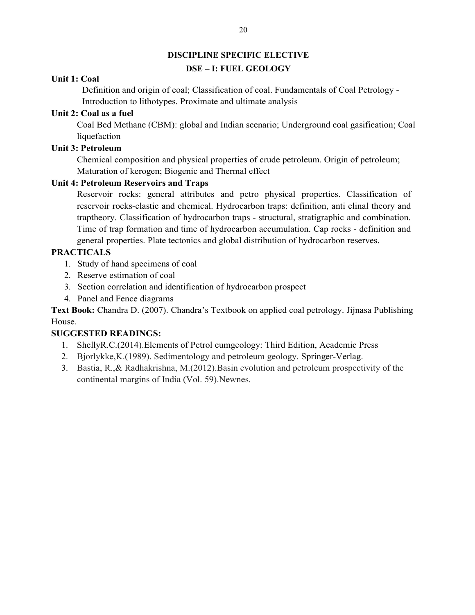#### **DISCIPLINE SPECIFIC ELECTIVE**

#### **DSE – I: FUEL GEOLOGY**

#### **Unit 1: Coal**

Definition and origin of coal; Classification of coal. Fundamentals of Coal Petrology - Introduction to lithotypes. Proximate and ultimate analysis

## **Unit 2: Coal as a fuel**

Coal Bed Methane (CBM): global and Indian scenario; Underground coal gasification; Coal liquefaction

## **Unit 3: Petroleum**

Chemical composition and physical properties of crude petroleum. Origin of petroleum; Maturation of kerogen; Biogenic and Thermal effect

## **Unit 4: Petroleum Reservoirs and Traps**

Reservoir rocks: general attributes and petro physical properties. Classification of reservoir rocks-clastic and chemical. Hydrocarbon traps: definition, anti clinal theory and traptheory. Classification of hydrocarbon traps - structural, stratigraphic and combination. Time of trap formation and time of hydrocarbon accumulation. Cap rocks - definition and general properties. Plate tectonics and global distribution of hydrocarbon reserves.

## **PRACTICALS**

- 1. Study of hand specimens of coal
- 2. Reserve estimation of coal
- 3. Section correlation and identification of hydrocarbon prospect
- 4. Panel and Fence diagrams

**Text Book:** Chandra D. (2007). Chandra's Textbook on applied coal petrology. Jijnasa Publishing House.

## **SUGGESTED READINGS:**

- 1. ShellyR.C.(2014).Elements of Petrol eumgeology: Third Edition, Academic Press
- 2. Bjorlykke,K.(1989). Sedimentology and petroleum geology. Springer-Verlag.
- 3. Bastia, R.,& Radhakrishna, M.(2012).Basin evolution and petroleum prospectivity of the continental margins of India (Vol. 59).Newnes.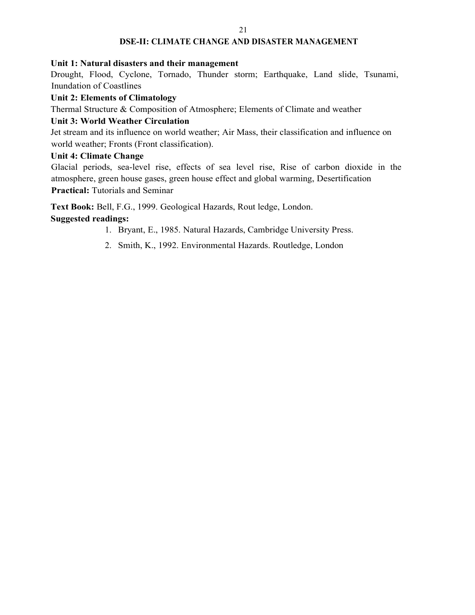#### 21

#### **DSE-II: CLIMATE CHANGE AND DISASTER MANAGEMENT**

#### **Unit 1: Natural disasters and their management**

Drought, Flood, Cyclone, Tornado, Thunder storm; Earthquake, Land slide, Tsunami, Inundation of Coastlines

#### **Unit 2: Elements of Climatology**

Thermal Structure & Composition of Atmosphere; Elements of Climate and weather

#### **Unit 3: World Weather Circulation**

Jet stream and its influence on world weather; Air Mass, their classification and influence on world weather; Fronts (Front classification).

#### **Unit 4: Climate Change**

Glacial periods, sea-level rise, effects of sea level rise, Rise of carbon dioxide in the atmosphere, green house gases, green house effect and global warming, Desertification **Practical:** Tutorials and Seminar

**Text Book:** Bell, F.G., 1999. Geological Hazards, Rout ledge, London.

#### **Suggested readings:**

- 1. Bryant, E., 1985. Natural Hazards, Cambridge University Press.
- 2. Smith, K., 1992. Environmental Hazards. Routledge, London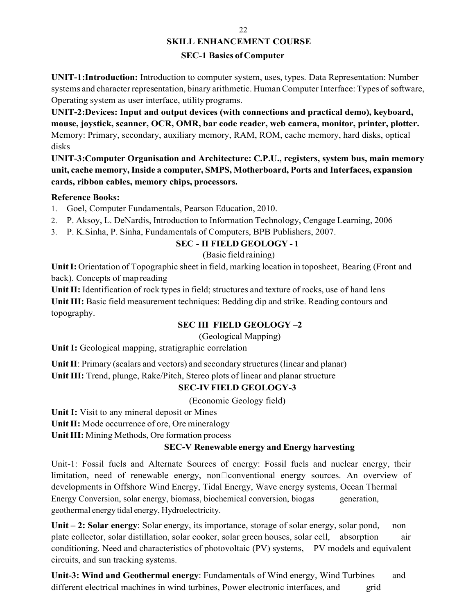# **SKILL ENHANCEMENT COURSE**

## **SEC-1 Basics of Computer**

**UNIT-1:Introduction:** Introduction to computer system, uses, types. Data Representation: Number systems and character representation, binary arithmetic. Human Computer Interface: Types of software, Operating system as user interface, utility programs.

**UNIT-2:Devices: Input and output devices (with connections and practical demo), keyboard, mouse, joystick, scanner, OCR, OMR, bar code reader, web camera, monitor, printer, plotter.** Memory: Primary, secondary, auxiliary memory, RAM, ROM, cache memory, hard disks, optical disks

**UNIT-3:Computer Organisation and Architecture: C.P.U., registers, system bus, main memory unit, cache memory, Inside a computer, SMPS, Motherboard, Ports and Interfaces, expansion cards, ribbon cables, memory chips, processors.**

#### **Reference Books:**

1. Goel, Computer Fundamentals, Pearson Education, 2010.

- 2. P. Aksoy, L. DeNardis, Introduction to Information Technology, Cengage Learning, 2006
- 3. P. K.Sinha, P. Sinha, Fundamentals of Computers, BPB Publishers, 2007.

# **SEC - II FIELD GEOLOGY - 1**

## (Basic field raining)

**Unit I:** Orientation of Topographic sheet in field, marking location in toposheet, Bearing (Front and back). Concepts of map reading

Unit II: Identification of rock types in field; structures and texture of rocks, use of hand lens Unit III: Basic field measurement techniques: Bedding dip and strike. Reading contours and topography.

# **SEC III FIELD GEOLOGY –2**

(Geological Mapping)

**Unit I:** Geological mapping, stratigraphic correlation

**Unit II**: Primary (scalars and vectors) and secondary structures (linear and planar) **Unit III:** Trend, plunge, Rake/Pitch, Stereo plots of linear and planar structure

# **SEC-IV FIELD GEOLOGY-3**

(Economic Geology field)

**Unit I:** Visit to any mineral deposit or Mines

**Unit II:** Mode occurrence of ore, Ore mineralogy

**Unit III:** Mining Methods, Ore formation process

# **SEC-V Renewable energy and Energy harvesting**

Unit-1: Fossil fuels and Alternate Sources of energy: Fossil fuels and nuclear energy, their limitation, need of renewable energy, non $\Box$ conventional energy sources. An overview of developments in Offshore Wind Energy, Tidal Energy, Wave energy systems, Ocean Thermal Energy Conversion, solar energy, biomass, biochemical conversion, biogas generation, geothermal energy tidal energy, Hydroelectricity.

Unit – 2: Solar energy: Solar energy, its importance, storage of solar energy, solar pond, non plate collector, solar distillation, solar cooker, solar green houses, solar cell, absorption air conditioning. Need and characteristics of photovoltaic (PV) systems, PV models and equivalent circuits, and sun tracking systems.

**Unit-3: Wind and Geothermal energy**: Fundamentals of Wind energy, Wind Turbines and different electrical machines in wind turbines, Power electronic interfaces, and grid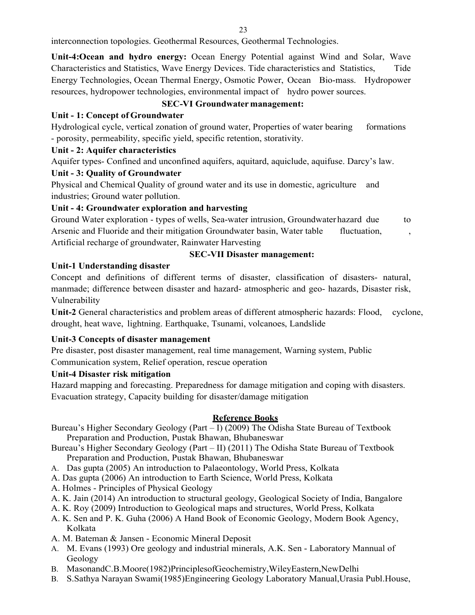interconnection topologies. Geothermal Resources, Geothermal Technologies.

**Unit-4:Ocean and hydro energy:** Ocean Energy Potential against Wind and Solar, Wave Characteristics and Statistics, Wave Energy Devices. Tide characteristics and Statistics, Tide Energy Technologies, Ocean Thermal Energy, Osmotic Power, Ocean Bio-mass. Hydropower resources, hydropower technologies, environmental impact of hydro power sources.

## **SEC-VI Groundwater management:**

## **Unit - 1: Concept of Groundwater**

Hydrological cycle, vertical zonation of ground water, Properties of water bearing formations - porosity, permeability, specific yield, specific retention, storativity.

## **Unit - 2: Aquifer characteristics**

Aquifer types- Confined and unconfined aquifers, aquitard, aquiclude, aquifuse. Darcy's law.

## **Unit - 3: Quality of Groundwater**

Physical and Chemical Quality of ground water and its use in domestic, agriculture and industries; Ground water pollution.

## **Unit - 4: Groundwater exploration and harvesting**

Ground Water exploration - types of wells, Sea-water intrusion, Groundwater hazard due to Arsenic and Fluoride and their mitigation Groundwater basin, Water table fluctuation, Artificial recharge of groundwater, Rainwater Harvesting

## **SEC-VII Disaster management:**

## **Unit-1 Understanding disaster**

Concept and definitions of different terms of disaster, classification of disasters- natural, manmade; difference between disaster and hazard- atmospheric and geo- hazards, Disaster risk, Vulnerability

**Unit-2** General characteristics and problem areas of different atmospheric hazards: Flood, cyclone, drought, heat wave, lightning. Earthquake, Tsunami, volcanoes, Landslide

## **Unit-3 Concepts of disaster management**

Pre disaster, post disaster management, real time management, Warning system, Public Communication system, Relief operation, rescue operation

## **Unit-4 Disaster risk mitigation**

Hazard mapping and forecasting. Preparedness for damage mitigation and coping with disasters. Evacuation strategy, Capacity building for disaster/damage mitigation

#### **Reference Books**

Bureau's Higher Secondary Geology (Part – I) (2009) The Odisha State Bureau of Textbook Preparation and Production, Pustak Bhawan, Bhubaneswar

Bureau's Higher Secondary Geology (Part – II) (2011) The Odisha State Bureau of Textbook Preparation and Production, Pustak Bhawan, Bhubaneswar

- A. Das gupta (2005) An introduction to Palaeontology, World Press, Kolkata
- A. Das gupta (2006) An introduction to Earth Science, World Press, Kolkata
- A. Holmes Principles of Physical Geology
- A. K. Jain (2014) An introduction to structural geology, Geological Society of India, Bangalore
- A. K. Roy (2009) Introduction to Geological maps and structures, World Press, Kolkata
- A. K. Sen and P. K. Guha (2006) A Hand Book of Economic Geology, Modern Book Agency, Kolkata
- A. M. Bateman & Jansen Economic Mineral Deposit
- A. M. Evans (1993) Ore geology and industrial minerals, A.K. Sen Laboratory Mannual of Geology
- B. MasonandC.B.Moore(1982)PrinciplesofGeochemistry,WileyEastern,NewDelhi
- B. S.Sathya Narayan Swami(1985)Engineering Geology Laboratory Manual,Urasia Publ.House,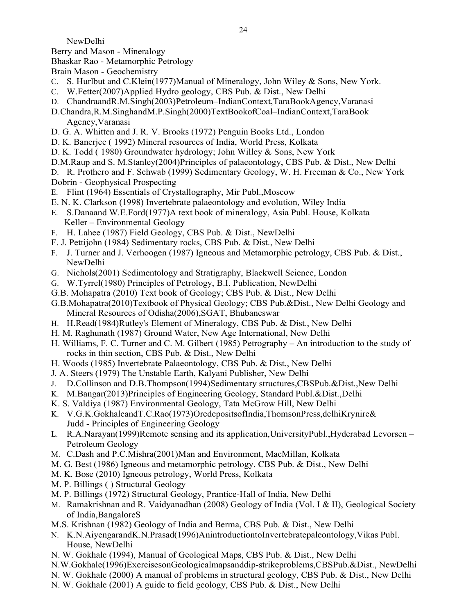NewDelhi

Berry and Mason - Mineralogy

Bhaskar Rao - Metamorphic Petrology

Brain Mason - Geochemistry

- C. S. Hurlbut and C.Klein(1977)Manual of Mineralogy, John Wiley & Sons, New York.
- C. W.Fetter(2007)Applied Hydro geology, CBS Pub. & Dist., New Delhi
- D. ChandraandR.M.Singh(2003)Petroleum–IndianContext,TaraBookAgency,Varanasi
- D.Chandra,R.M.SinghandM.P.Singh(2000)TextBookofCoal–IndianContext,TaraBook Agency,Varanasi
- D. G. A. Whitten and J. R. V. Brooks (1972) Penguin Books Ltd., London
- D. K. Banerjee ( 1992) Mineral resources of India, World Press, Kolkata
- D. K. Todd ( 1980) Groundwater hydrology; John Willey & Sons, New York
- D.M.Raup and S. M.Stanley(2004)Principles of palaeontology, CBS Pub. & Dist., New Delhi
- D. R. Prothero and F. Schwab (1999) Sedimentary Geology, W. H. Freeman & Co., New York

Dobrin - Geophysical Prospecting

- E. Flint (1964) Essentials of Crystallography, Mir Publ.,Moscow
- E. N. K. Clarkson (1998) Invertebrate palaeontology and evolution, Wiley India
- E. S.Danaand W.E.Ford(1977)A text book of mineralogy, Asia Publ. House, Kolkata Keller – Environmental Geology
- F. H. Lahee (1987) Field Geology, CBS Pub. & Dist., NewDelhi
- F. J. Pettijohn (1984) Sedimentary rocks, CBS Pub. & Dist., New Delhi
- F. J. Turner and J. Verhoogen (1987) Igneous and Metamorphic petrology, CBS Pub. & Dist., NewDelhi
- G. Nichols(2001) Sedimentology and Stratigraphy, Blackwell Science, London
- G. W.Tyrrel(1980) Principles of Petrology, B.I. Publication, NewDelhi
- G.B. Mohapatra (2010) Text book of Geology; CBS Pub. & Dist., New Delhi
- G.B.Mohapatra(2010)Textbook of Physical Geology; CBS Pub.&Dist., New Delhi Geology and Mineral Resources of Odisha(2006),SGAT, Bhubaneswar
- H. H.Read(1984)Rutley's Element of Mineralogy, CBS Pub. & Dist., New Delhi
- H. M. Raghunath (1987) Ground Water, New Age International, New Delhi
- H. Williams, F. C. Turner and C. M. Gilbert (1985) Petrography An introduction to the study of rocks in thin section, CBS Pub. & Dist., New Delhi
- H. Woods (1985) Invertebrate Palaeontology, CBS Pub. & Dist., New Delhi
- J. A. Steers (1979) The Unstable Earth, Kalyani Publisher, New Delhi
- J. D.Collinson and D.B.Thompson(1994)Sedimentary structures,CBSPub.&Dist.,New Delhi
- K. M.Bangar(2013)Principles of Engineering Geology, Standard Publ.&Dist.,Delhi
- K. S. Valdiya (1987) Environmental Geology, Tata McGrow Hill, New Delhi
- K. V.G.K.GokhaleandT.C.Rao(1973)OredepositsofIndia,ThomsonPress,delhiKrynire& Judd - Principles of Engineering Geology
- L. R.A.Narayan(1999)Remote sensing and its application,UniversityPubl.,Hyderabad Levorsen Petroleum Geology
- M. C.Dash and P.C.Mishra(2001)Man and Environment, MacMillan, Kolkata
- M. G. Best (1986) Igneous and metamorphic petrology, CBS Pub. & Dist., New Delhi
- M. K. Bose (2010) Igneous petrology, World Press, Kolkata
- M. P. Billings ( ) Structural Geology
- M. P. Billings (1972) Structural Geology, Prantice-Hall of India, New Delhi
- M. Ramakrishnan and R. Vaidyanadhan (2008) Geology of India (Vol. I & II), Geological Society of India,BangaloreS
- M.S. Krishnan (1982) Geology of India and Berma, CBS Pub. & Dist., New Delhi
- N. K.N.AiyengarandK.N.Prasad(1996)AnintroductiontoInvertebratepaleontology,Vikas Publ. House, NewDelhi
- N. W. Gokhale (1994), Manual of Geological Maps, CBS Pub. & Dist., New Delhi
- N.W.Gokhale(1996)ExercisesonGeologicalmapsanddip-strikeproblems,CBSPub.&Dist., NewDelhi
- N. W. Gokhale (2000) A manual of problems in structural geology, CBS Pub. & Dist., New Delhi
- N. W. Gokhale (2001) A guide to field geology, CBS Pub. & Dist., New Delhi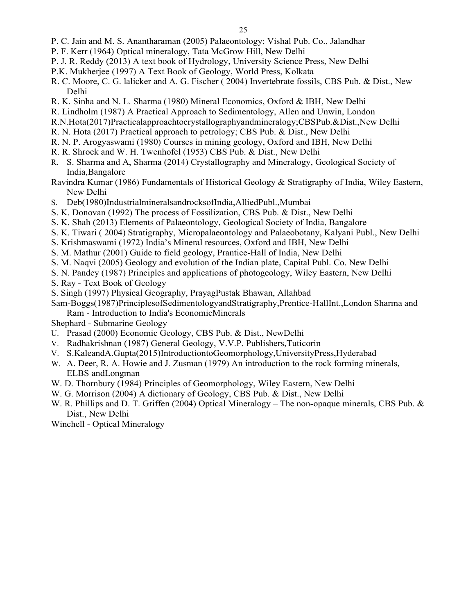- P. C. Jain and M. S. Anantharaman (2005) Palaeontology; Vishal Pub. Co., Jalandhar
- P. F. Kerr (1964) Optical mineralogy, Tata McGrow Hill, New Delhi
- P. J. R. Reddy (2013) A text book of Hydrology, University Science Press, New Delhi
- P.K. Mukherjee (1997) A Text Book of Geology, World Press, Kolkata
- R. C. Moore, C. G. lalicker and A. G. Fischer ( 2004) Invertebrate fossils, CBS Pub. & Dist., New Delhi
- R. K. Sinha and N. L. Sharma (1980) Mineral Economics, Oxford & IBH, New Delhi
- R. Lindholm (1987) A Practical Approach to Sedimentology, Allen and Unwin, London
- R.N.Hota(2017)Practicalapproachtocrystallographyandmineralogy;CBSPub.&Dist.,New Delhi
- R. N. Hota (2017) Practical approach to petrology; CBS Pub. & Dist., New Delhi
- R. N. P. Arogyaswami (1980) Courses in mining geology, Oxford and IBH, New Delhi
- R. R. Shrock and W. H. Twenhofel (1953) CBS Pub. & Dist., New Delhi
- R. S. Sharma and A, Sharma (2014) Crystallography and Mineralogy, Geological Society of India,Bangalore
- Ravindra Kumar (1986) Fundamentals of Historical Geology & Stratigraphy of India, Wiley Eastern, New Delhi
- S. Deb(1980)IndustrialmineralsandrocksofIndia,AlliedPubl.,Mumbai
- S. K. Donovan (1992) The process of Fossilization, CBS Pub. & Dist., New Delhi
- S. K. Shah (2013) Elements of Palaeontology, Geological Society of India, Bangalore
- S. K. Tiwari ( 2004) Stratigraphy, Micropalaeontology and Palaeobotany, Kalyani Publ., New Delhi
- S. Krishmaswami (1972) India's Mineral resources, Oxford and IBH, New Delhi
- S. M. Mathur (2001) Guide to field geology, Prantice-Hall of India, New Delhi
- S. M. Naqvi (2005) Geology and evolution of the Indian plate, Capital Publ. Co. New Delhi
- S. N. Pandey (1987) Principles and applications of photogeology, Wiley Eastern, New Delhi
- S. Ray Text Book of Geology
- S. Singh (1997) Physical Geography, PrayagPustak Bhawan, Allahbad
- Sam-Boggs(1987)PrinciplesofSedimentologyandStratigraphy,Prentice-HallInt.,London Sharma and Ram - Introduction to India's EconomicMinerals
- Shephard Submarine Geology
- U. Prasad (2000) Economic Geology, CBS Pub. & Dist., NewDelhi
- V. Radhakrishnan (1987) General Geology, V.V.P. Publishers,Tuticorin
- V. S.KaleandA.Gupta(2015)IntroductiontoGeomorphology,UniversityPress,Hyderabad
- W. A. Deer, R. A. Howie and J. Zusman (1979) An introduction to the rock forming minerals, ELBS andLongman
- W. D. Thornbury (1984) Principles of Geomorphology, Wiley Eastern, New Delhi
- W. G. Morrison (2004) A dictionary of Geology, CBS Pub. & Dist., New Delhi
- W. R. Phillips and D. T. Griffen (2004) Optical Mineralogy The non-opaque minerals, CBS Pub. & Dist., New Delhi
- Winchell Optical Mineralogy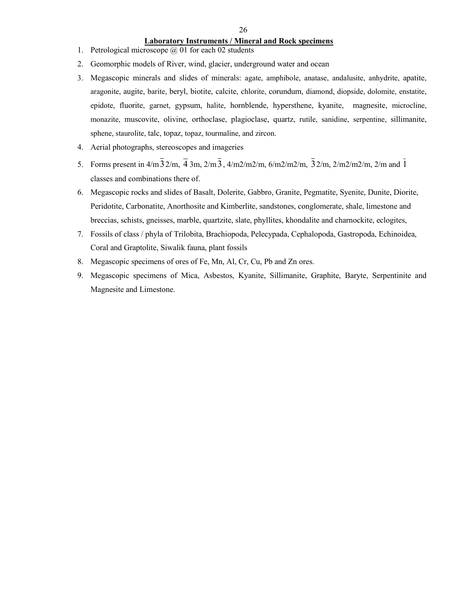#### 26

#### **Laboratory Instruments / Mineral and Rock specimens**

- 1. Petrological microscope @ 01 for each 02 students
- 2. Geomorphic models of River, wind, glacier, underground water and ocean
- 3. Megascopic minerals and slides of minerals: agate, amphibole, anatase, andalusite, anhydrite, apatite, aragonite, augite, barite, beryl, biotite, calcite, chlorite, corundum, diamond, diopside, dolomite, enstatite, epidote, fluorite, garnet, gypsum, halite, hornblende, hypersthene, kyanite, magnesite, microcline, monazite, muscovite, olivine, orthoclase, plagioclase, quartz, rutile, sanidine, serpentine, sillimanite, sphene, staurolite, talc, topaz, topaz, tourmaline, and zircon.
- 4. Aerial photographs, stereoscopes and imageries
- 5. Forms present in  $4/m\overline{3}$   $2/m$ ,  $\overline{4}$   $3m$ ,  $2/m\overline{3}$ ,  $4/m\overline{2}/m\overline{2}/m$ ,  $6/m\overline{2}/m\overline{2}/m$ ,  $\overline{3}$   $2/m$ ,  $\overline{2}/m\overline{2}/m\overline{2}/m$ ,  $\overline{2}/m$  and  $\overline{1}$ classes and combinations there of.
- 6. Megascopic rocks and slides of Basalt, Dolerite, Gabbro, Granite, Pegmatite, Syenite, Dunite, Diorite, Peridotite, Carbonatite, Anorthosite and Kimberlite, sandstones, conglomerate, shale, limestone and breccias, schists, gneisses, marble, quartzite, slate, phyllites, khondalite and charnockite, eclogites,
- 7. Fossils of class / phyla of Trilobita, Brachiopoda, Pelecypada, Cephalopoda, Gastropoda, Echinoidea, Coral and Graptolite, Siwalik fauna, plant fossils
- 8. Megascopic specimens of ores of Fe, Mn, Al, Cr, Cu, Pb and Zn ores.
- 9. Megascopic specimens of Mica, Asbestos, Kyanite, Sillimanite, Graphite, Baryte, Serpentinite and Magnesite and Limestone.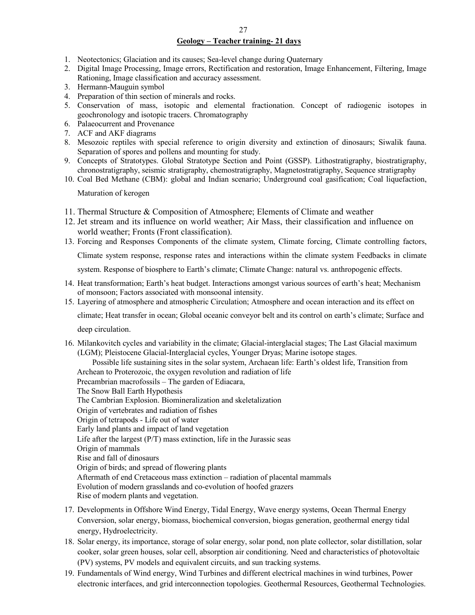#### **Geology – Teacher training- 21 days**

- 1. Neotectonics; Glaciation and its causes; Sea-level change during Quaternary
- 2. Digital Image Processing, Image errors, Rectification and restoration, Image Enhancement, Filtering, Image Rationing, Image classification and accuracy assessment.
- 3. Hermann-Mauguin symbol
- 4. Preparation of thin section of minerals and rocks.
- 5. Conservation of mass, isotopic and elemental fractionation. Concept of radiogenic isotopes in geochronology and isotopic tracers. Chromatography
- 6. Palaeocurrent and Provenance
- 7. ACF and AKF diagrams
- 8. Mesozoic reptiles with special reference to origin diversity and extinction of dinosaurs; Siwalik fauna. Separation of spores and pollens and mounting for study.
- 9. Concepts of Stratotypes. Global Stratotype Section and Point (GSSP). Lithostratigraphy, biostratigraphy, chronostratigraphy, seismic stratigraphy, chemostratigraphy, Magnetostratigraphy, Sequence stratigraphy
- 10. Coal Bed Methane (CBM): global and Indian scenario; Underground coal gasification; Coal liquefaction,

Maturation of kerogen

- 11. Thermal Structure & Composition of Atmosphere; Elements of Climate and weather
- 12. Jet stream and its influence on world weather; Air Mass, their classification and influence on world weather; Fronts (Front classification).
- 13. Forcing and Responses Components of the climate system, Climate forcing, Climate controlling factors, Climate system response, response rates and interactions within the climate system Feedbacks in climate

system. Response of biosphere to Earth's climate; Climate Change: natural vs. anthropogenic effects.

- 14. Heat transformation; Earth's heat budget. Interactions amongst various sources of earth's heat; Mechanism of monsoon; Factors associated with monsoonal intensity.
- 15. Layering of atmosphere and atmospheric Circulation; Atmosphere and ocean interaction and its effect on

climate; Heat transfer in ocean; Global oceanic conveyor belt and its control on earth's climate; Surface and

deep circulation.

16. Milankovitch cycles and variability in the climate; Glacial-interglacial stages; The Last Glacial maximum (LGM); Pleistocene Glacial-Interglacial cycles, Younger Dryas; Marine isotope stages.

Possible life sustaining sites in the solar system, Archaean life: Earth's oldest life, Transition from Archean to Proterozoic, the oxygen revolution and radiation of life

Precambrian macrofossils – The garden of Ediacara,

The Snow Ball Earth Hypothesis

The Cambrian Explosion. Biomineralization and skeletalization

Origin of vertebrates and radiation of fishes

Origin of tetrapods - Life out of water

Early land plants and impact of land vegetation

Life after the largest  $(P/T)$  mass extinction, life in the Jurassic seas

Origin of mammals

Rise and fall of dinosaurs

Origin of birds; and spread of flowering plants

Aftermath of end Cretaceous mass extinction – radiation of placental mammals

Evolution of modern grasslands and co-evolution of hoofed grazers

Rise of modern plants and vegetation.

- 17. Developments in Offshore Wind Energy, Tidal Energy, Wave energy systems, Ocean Thermal Energy Conversion, solar energy, biomass, biochemical conversion, biogas generation, geothermal energy tidal energy, Hydroelectricity.
- 18. Solar energy, its importance, storage of solar energy, solar pond, non plate collector, solar distillation, solar cooker, solar green houses, solar cell, absorption air conditioning. Need and characteristics of photovoltaic (PV) systems, PV models and equivalent circuits, and sun tracking systems.
- 19. Fundamentals of Wind energy, Wind Turbines and different electrical machines in wind turbines, Power electronic interfaces, and grid interconnection topologies. Geothermal Resources, Geothermal Technologies.